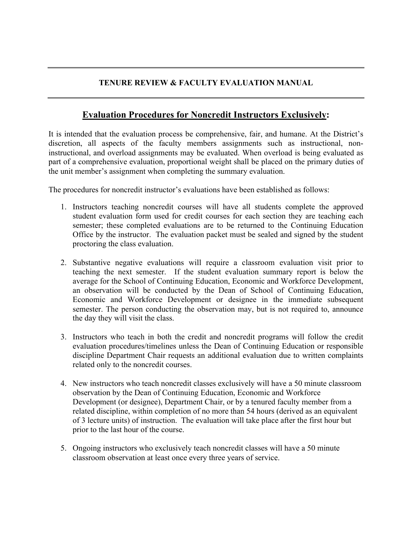## **TENURE REVIEW & FACULTY EVALUATION MANUAL**

## **Evaluation Procedures for Noncredit Instructors Exclusively:**

It is intended that the evaluation process be comprehensive, fair, and humane. At the District's discretion, all aspects of the faculty members assignments such as instructional, noninstructional, and overload assignments may be evaluated. When overload is being evaluated as part of a comprehensive evaluation, proportional weight shall be placed on the primary duties of the unit member's assignment when completing the summary evaluation.

The procedures for noncredit instructor's evaluations have been established as follows:

- 1. Instructors teaching noncredit courses will have all students complete the approved student evaluation form used for credit courses for each section they are teaching each semester; these completed evaluations are to be returned to the Continuing Education Office by the instructor. The evaluation packet must be sealed and signed by the student proctoring the class evaluation.
- 2. Substantive negative evaluations will require a classroom evaluation visit prior to teaching the next semester. If the student evaluation summary report is below the average for the School of Continuing Education, Economic and Workforce Development, an observation will be conducted by the Dean of School of Continuing Education, Economic and Workforce Development or designee in the immediate subsequent semester. The person conducting the observation may, but is not required to, announce the day they will visit the class.
- 3. Instructors who teach in both the credit and noncredit programs will follow the credit evaluation procedures/timelines unless the Dean of Continuing Education or responsible discipline Department Chair requests an additional evaluation due to written complaints related only to the noncredit courses.
- 4. New instructors who teach noncredit classes exclusively will have a 50 minute classroom observation by the Dean of Continuing Education, Economic and Workforce Development (or designee), Department Chair, or by a tenured faculty member from a related discipline, within completion of no more than 54 hours (derived as an equivalent of 3 lecture units) of instruction. The evaluation will take place after the first hour but prior to the last hour of the course.
- 5. Ongoing instructors who exclusively teach noncredit classes will have a 50 minute classroom observation at least once every three years of service.